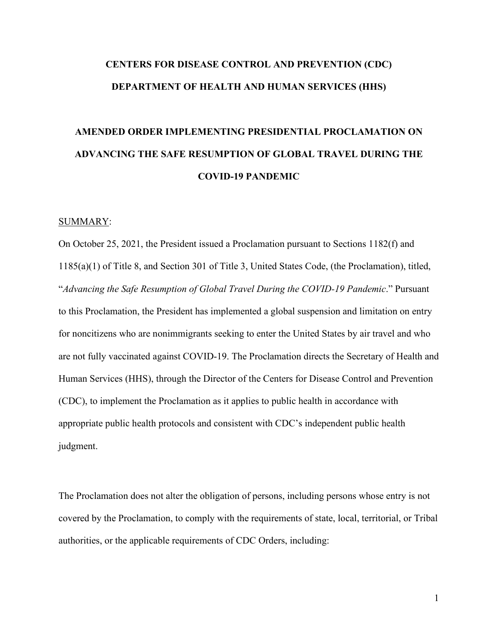# **CENTERS FOR DISEASE CONTROL AND PREVENTION (CDC) DEPARTMENT OF HEALTH AND HUMAN SERVICES (HHS)**

# **AMENDED ORDER IMPLEMENTING PRESIDENTIAL PROCLAMATION ON ADVANCING THE SAFE RESUMPTION OF GLOBAL TRAVEL DURING THE COVID-19 PANDEMIC**

#### SUMMARY:

On October 25, 2021, the President issued a Proclamation pursuant to Sections 1182(f) and 1185(a)(1) of Title 8, and Section 301 of Title 3, United States Code, (the Proclamation), titled, "*Advancing the Safe Resumption of Global Travel During the COVID-19 Pandemic*." Pursuant to this Proclamation, the President has implemented a global suspension and limitation on entry for noncitizens who are nonimmigrants seeking to enter the United States by air travel and who are not fully vaccinated against COVID-19. The Proclamation directs the Secretary of Health and Human Services (HHS), through the Director of the Centers for Disease Control and Prevention (CDC), to implement the Proclamation as it applies to public health in accordance with appropriate public health protocols and consistent with CDC's independent public health judgment.

The Proclamation does not alter the obligation of persons, including persons whose entry is not covered by the Proclamation, to comply with the requirements of state, local, territorial, or Tribal authorities, or the applicable requirements of CDC Orders, including:

1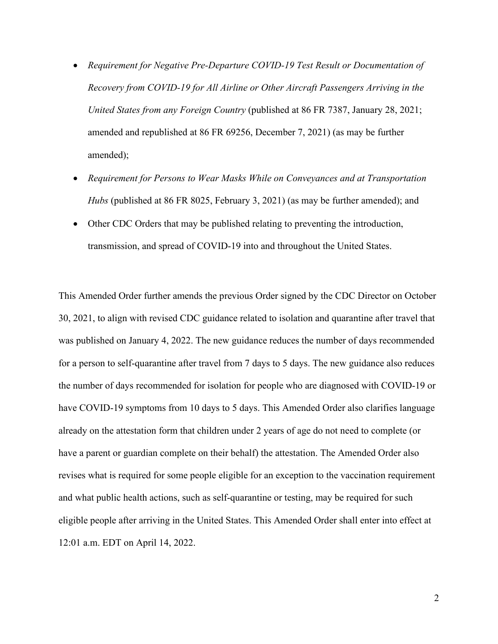- *Requirement for Negative Pre-Departure COVID-19 Test Result or Documentation of Recovery from COVID-19 for All Airline or Other Aircraft Passengers Arriving in the United States from any Foreign Country* (published at 86 FR 7387, January 28, 2021; amended and republished at 86 FR 69256, December 7, 2021) (as may be further amended);
- *Requirement for Persons to Wear Masks While on Conveyances and at Transportation Hubs* (published at 86 FR 8025, February 3, 2021) (as may be further amended); and
- Other CDC Orders that may be published relating to preventing the introduction, transmission, and spread of COVID-19 into and throughout the United States.

This Amended Order further amends the previous Order signed by the CDC Director on October 30, 2021, to align with revised CDC guidance related to isolation and quarantine after travel that was published on January 4, 2022. The new guidance reduces the number of days recommended for a person to self-quarantine after travel from 7 days to 5 days. The new guidance also reduces the number of days recommended for isolation for people who are diagnosed with COVID-19 or have COVID-19 symptoms from 10 days to 5 days. This Amended Order also clarifies language already on the attestation form that children under 2 years of age do not need to complete (or have a parent or guardian complete on their behalf) the attestation. The Amended Order also revises what is required for some people eligible for an exception to the vaccination requirement and what public health actions, such as self-quarantine or testing, may be required for such eligible people after arriving in the United States. This Amended Order shall enter into effect at 12:01 a.m. EDT on April 14, 2022.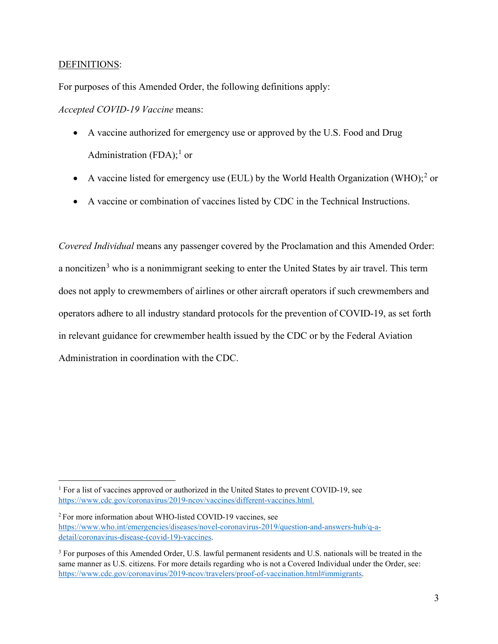## DEFINITIONS:

For purposes of this Amended Order, the following definitions apply:

*Accepted COVID-19 Vaccine* means:

- A vaccine authorized for emergency use or approved by the U.S. Food and Drug Administration (FDA);<sup>[1](#page-2-0)</sup> or
- A vaccine listed for emergency use (EUL) by the World Health Organization (WHO);<sup>[2](#page-2-1)</sup> or
- A vaccine or combination of vaccines listed by CDC in the Technical Instructions.

*Covered Individual* means any passenger covered by the Proclamation and this Amended Order: a noncitizen<sup>[3](#page-2-2)</sup> who is a nonimmigrant seeking to enter the United States by air travel. This term does not apply to crewmembers of airlines or other aircraft operators if such crewmembers and operators adhere to all industry standard protocols for the prevention of COVID-19, as set forth in relevant guidance for crewmember health issued by the CDC or by the Federal Aviation Administration in coordination with the CDC.

<span id="page-2-0"></span><sup>&</sup>lt;sup>1</sup> For a list of vaccines approved or authorized in the United States to prevent COVID-19, see [https://www.cdc.gov/coronavirus/2019-ncov/vaccines/different-vaccines.html.](https://www.cdc.gov/coronavirus/2019-ncov/vaccines/different-vaccines.html)

<span id="page-2-1"></span><sup>&</sup>lt;sup>2</sup> For more information about WHO-listed COVID-19 vaccines, see [https://www.who.int/emergencies/diseases/novel-coronavirus-2019/question-and-answers-hub/q-a](https://www.who.int/emergencies/diseases/novel-coronavirus-2019/question-and-answers-hub/q-a-detail/coronavirus-disease-(covid-19)-vaccines)[detail/coronavirus-disease-\(covid-19\)-vaccines.](https://www.who.int/emergencies/diseases/novel-coronavirus-2019/question-and-answers-hub/q-a-detail/coronavirus-disease-(covid-19)-vaccines)

<span id="page-2-2"></span><sup>&</sup>lt;sup>3</sup> For purposes of this Amended Order, U.S. lawful permanent residents and U.S. nationals will be treated in the same manner as U.S. citizens. For more details regarding who is not a Covered Individual under the Order, see: [https://www.cdc.gov/coronavirus/2019-ncov/travelers/proof-of-vaccination.html#immigrants.](https://www.cdc.gov/coronavirus/2019-ncov/travelers/proof-of-vaccination.html#immigrants)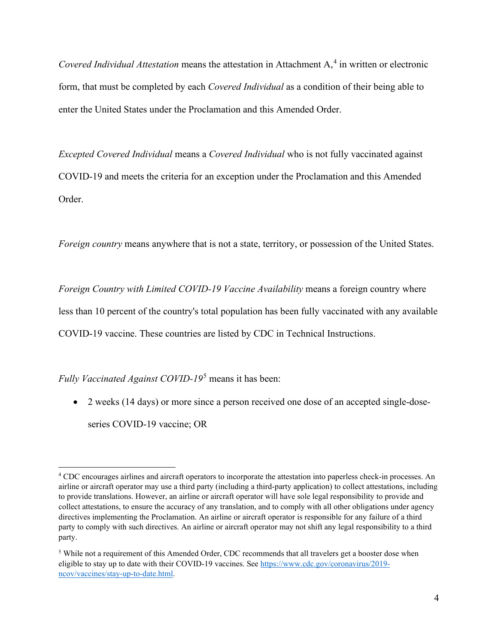*Covered Individual Attestation* means the attestation in Attachment A,<sup>[4](#page-3-0)</sup> in written or electronic form, that must be completed by each *Covered Individual* as a condition of their being able to enter the United States under the Proclamation and this Amended Order.

*Excepted Covered Individual* means a *Covered Individual* who is not fully vaccinated against COVID-19 and meets the criteria for an exception under the Proclamation and this Amended Order.

*Foreign country* means anywhere that is not a state, territory, or possession of the United States.

*Foreign Country with Limited COVID-19 Vaccine Availability* means a foreign country where less than 10 percent of the country's total population has been fully vaccinated with any available COVID-19 vaccine. These countries are listed by CDC in Technical Instructions.

*Fully Vaccinated Against COVID-19*[5](#page-3-1) means it has been:

• 2 weeks (14 days) or more since a person received one dose of an accepted single-doseseries COVID-19 vaccine; OR

<span id="page-3-0"></span><sup>4</sup> CDC encourages airlines and aircraft operators to incorporate the attestation into paperless check-in processes. An airline or aircraft operator may use a third party (including a third-party application) to collect attestations, including to provide translations. However, an airline or aircraft operator will have sole legal responsibility to provide and collect attestations, to ensure the accuracy of any translation, and to comply with all other obligations under agency directives implementing the Proclamation. An airline or aircraft operator is responsible for any failure of a third party to comply with such directives. An airline or aircraft operator may not shift any legal responsibility to a third party.

<span id="page-3-1"></span><sup>5</sup> While not a requirement of this Amended Order, CDC recommends that all travelers get a booster dose when eligible to stay up to date with their COVID-19 vaccines. See [https://www.cdc.gov/coronavirus/2019](https://www.cdc.gov/coronavirus/2019-ncov/vaccines/stay-up-to-date.html) [ncov/vaccines/stay-up-to-date.html.](https://www.cdc.gov/coronavirus/2019-ncov/vaccines/stay-up-to-date.html)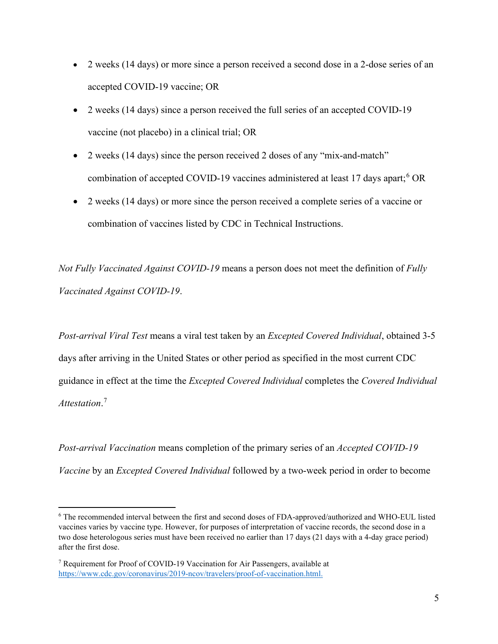- 2 weeks (14 days) or more since a person received a second dose in a 2-dose series of an accepted COVID-19 vaccine; OR
- 2 weeks (14 days) since a person received the full series of an accepted COVID-19 vaccine (not placebo) in a clinical trial; OR
- 2 weeks (14 days) since the person received 2 doses of any "mix-and-match" combination of accepted COVID-19 vaccines administered at least 17 days apart;<sup>[6](#page-4-0)</sup> OR
- 2 weeks (14 days) or more since the person received a complete series of a vaccine or combination of vaccines listed by CDC in Technical Instructions.

*Not Fully Vaccinated Against COVID-19* means a person does not meet the definition of *Fully Vaccinated Against COVID-19*.

*Post-arrival Viral Test* means a viral test taken by an *Excepted Covered Individual*, obtained 3-5 days after arriving in the United States or other period as specified in the most current CDC guidance in effect at the time the *Excepted Covered Individual* completes the *Covered Individual Attestation*. [7](#page-4-1)

*Post-arrival Vaccination* means completion of the primary series of an *Accepted COVID-19 Vaccine* by an *Excepted Covered Individual* followed by a two-week period in order to become

<span id="page-4-0"></span><sup>6</sup> The recommended interval between the first and second doses of FDA-approved/authorized and WHO-EUL listed vaccines varies by vaccine type. However, for purposes of interpretation of vaccine records, the second dose in a two dose heterologous series must have been received no earlier than 17 days (21 days with a 4-day grace period) after the first dose.

<span id="page-4-1"></span><sup>7</sup> Requirement for Proof of COVID-19 Vaccination for Air Passengers, available at [https://www.cdc.gov/coronavirus/2019-ncov/travelers/proof-of-vaccination.html.](https://www.cdc.gov/coronavirus/2019-ncov/travelers/proof-of-vaccination.html)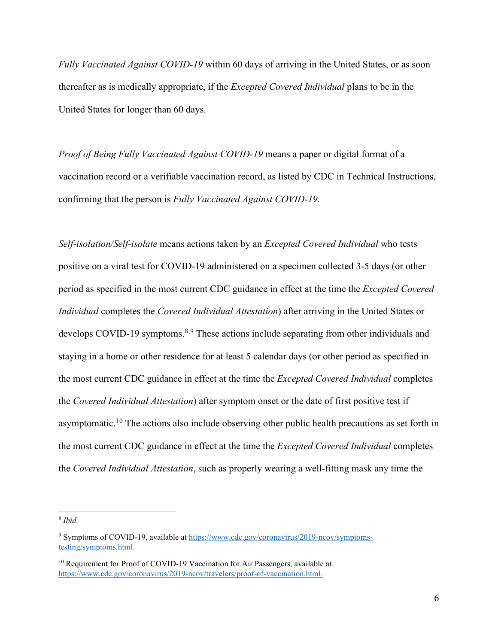*Fully Vaccinated Against COVID-19* within 60 days of arriving in the United States, or as soon thereafter as is medically appropriate, if the *Excepted Covered Individual* plans to be in the United States for longer than 60 days.

*Proof of Being Fully Vaccinated Against COVID-19* means a paper or digital format of a vaccination record or a verifiable vaccination record, as listed by CDC in Technical Instructions, confirming that the person is *Fully Vaccinated Against COVID-19.* 

*Self-isolation/Self-isolate* means actions taken by an *Excepted Covered Individual* who tests positive on a viral test for COVID-19 administered on a specimen collected 3-5 days (or other period as specified in the most current CDC guidance in effect at the time the *Excepted Covered Individual* completes the *Covered Individual Attestation*) after arriving in the United States or develops COVID-19 symptoms.<sup>[8,](#page-5-0)[9](#page-5-1)</sup> These actions include separating from other individuals and staying in a home or other residence for at least 5 calendar days (or other period as specified in the most current CDC guidance in effect at the time the *Excepted Covered Individual* completes the *Covered Individual Attestation*) after symptom onset or the date of first positive test if asymptomatic.<sup>10</sup> The actions also include observing other public health precautions as set forth in the most current CDC guidance in effect at the time the *Excepted Covered Individual* completes the *Covered Individual Attestation*, such as properly wearing a well-fitting mask any time the

<span id="page-5-0"></span><sup>8</sup> *Ibid.*

<span id="page-5-1"></span><sup>&</sup>lt;sup>9</sup> Symptoms of COVID-19, available at [https://www.cdc.gov/coronavirus/2019-ncov/symptoms](https://www.cdc.gov/coronavirus/2019-ncov/symptoms-testing/symptoms.html)[testing/symptoms.html.](https://www.cdc.gov/coronavirus/2019-ncov/symptoms-testing/symptoms.html) 

<span id="page-5-2"></span><sup>&</sup>lt;sup>10</sup> Requirement for Proof of COVID-19 Vaccination for Air Passengers, available at [https://www.cdc.gov/coronavirus/2019-ncov/travelers/proof-of-vaccination.html.](https://www.cdc.gov/coronavirus/2019-ncov/travelers/proof-of-vaccination.html)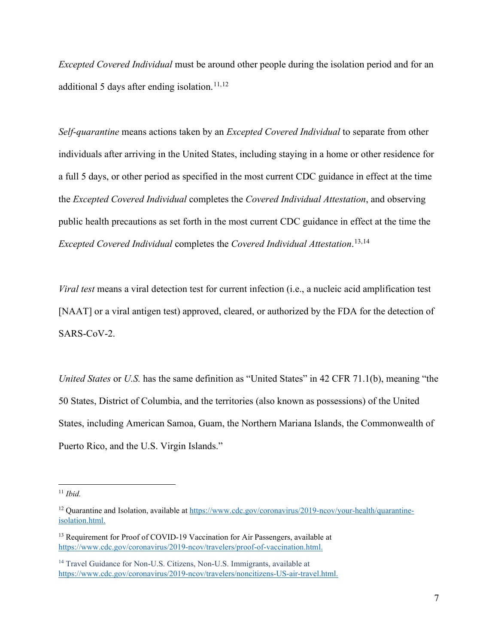*Excepted Covered Individual* must be around other people during the isolation period and for an additional 5 days after ending isolation.<sup>[11,](#page-6-0)[12](#page-6-1)</sup>

*Self-quarantine* means actions taken by an *Excepted Covered Individual* to separate from other individuals after arriving in the United States, including staying in a home or other residence for a full 5 days, or other period as specified in the most current CDC guidance in effect at the time the *Excepted Covered Individual* completes the *Covered Individual Attestation*, and observing public health precautions as set forth in the most current CDC guidance in effect at the time the *Excepted Covered Individual* completes the *Covered Individual Attestation*. [13](#page-6-2),[14](#page-6-3)

*Viral test* means a viral detection test for current infection (i.e., a nucleic acid amplification test [NAAT] or a viral antigen test) approved, cleared, or authorized by the FDA for the detection of SARS-CoV-2.

*United States* or *U.S.* has the same definition as "United States" in 42 CFR 71.1(b), meaning "the 50 States, District of Columbia, and the territories (also known as possessions) of the United States, including American Samoa, Guam, the Northern Mariana Islands, the Commonwealth of Puerto Rico, and the U.S. Virgin Islands."

<span id="page-6-0"></span><sup>11</sup> *Ibid.*

<span id="page-6-1"></span><sup>&</sup>lt;sup>12</sup> Quarantine and Isolation, available at [https://www.cdc.gov/coronavirus/2019-ncov/your-health/quarantine](https://www.cdc.gov/coronavirus/2019-ncov/your-health/quarantine-isolation.html)[isolation.html.](https://www.cdc.gov/coronavirus/2019-ncov/your-health/quarantine-isolation.html)

<span id="page-6-2"></span><sup>&</sup>lt;sup>13</sup> Requirement for Proof of COVID-19 Vaccination for Air Passengers, available at [https://www.cdc.gov/coronavirus/2019-ncov/travelers/proof-of-vaccination.html.](https://www.cdc.gov/coronavirus/2019-ncov/travelers/proof-of-vaccination.html)

<span id="page-6-3"></span><sup>&</sup>lt;sup>14</sup> Travel Guidance for Non-U.S. Citizens, Non-U.S. Immigrants, available at [https://www.cdc.gov/coronavirus/2019-ncov/travelers/noncitizens-US-air-travel.html.](https://www.cdc.gov/coronavirus/2019-ncov/travelers/noncitizens-US-air-travel.html)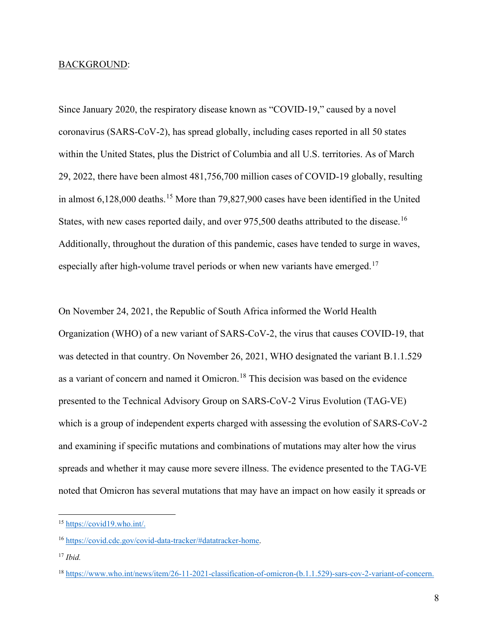#### BACKGROUND:

Since January 2020, the respiratory disease known as "COVID-19," caused by a novel coronavirus (SARS-CoV-2), has spread globally, including cases reported in all 50 states within the United States, plus the District of Columbia and all U.S. territories. As of March 29, 2022, there have been almost 481,756,700 million cases of COVID-19 globally, resulting in almost 6,128,000 deaths.<sup>15</sup> More than 79,827,900 cases have been identified in the United States, with new cases reported daily, and over 975,500 deaths attributed to the disease.<sup>[16](#page-7-1)</sup> Additionally, throughout the duration of this pandemic, cases have tended to surge in waves, especially after high-volume travel periods or when new variants have emerged.<sup>[17](#page-7-2)</sup>

On November 24, 2021, the Republic of South Africa informed the World Health Organization (WHO) of a new variant of SARS-CoV-2, the virus that causes COVID-19, that was detected in that country. On November 26, 2021, WHO designated the variant B.1.1.529 as a variant of concern and named it Omicron.<sup>[18](#page-7-3)</sup> This decision was based on the evidence presented to the Technical Advisory Group on SARS-CoV-2 Virus Evolution (TAG-VE) which is a group of independent experts charged with assessing the evolution of SARS-CoV-2 and examining if specific mutations and combinations of mutations may alter how the virus spreads and whether it may cause more severe illness. The evidence presented to the TAG-VE noted that Omicron has several mutations that may have an impact on how easily it spreads or

<span id="page-7-0"></span><sup>15</sup> [https://covid19.who.int/.](https://covid19.who.int/)

<span id="page-7-1"></span><sup>16</sup> [https://covid.cdc.gov/covid-data-tracker/#datatracker-home.](https://covid.cdc.gov/covid-data-tracker/#datatracker-home)

<span id="page-7-2"></span><sup>17</sup> *Ibid.*

<span id="page-7-3"></span><sup>18</sup> [https://www.who.int/news/item/26-11-2021-classification-of-omicron-\(b.1.1.529\)-sars-cov-2-variant-of-concern.](https://www.who.int/news/item/26-11-2021-classification-of-omicron-(b.1.1.529)-sars-cov-2-variant-of-concern)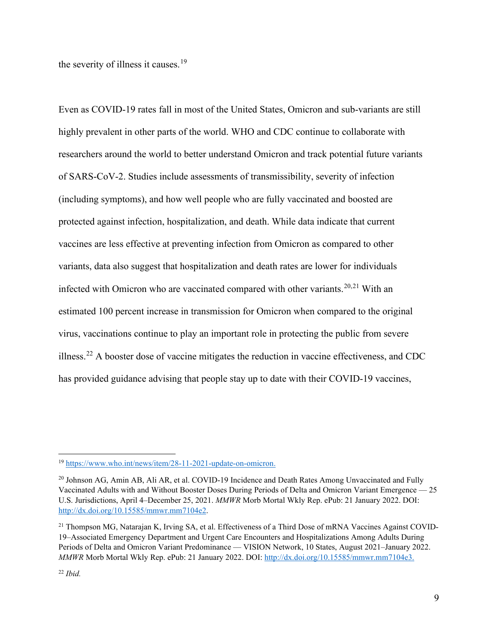the severity of illness it causes.<sup>[19](#page-8-0)</sup>

Even as COVID-19 rates fall in most of the United States, Omicron and sub-variants are still highly prevalent in other parts of the world. WHO and CDC continue to collaborate with researchers around the world to better understand Omicron and track potential future variants of SARS-CoV-2. Studies include assessments of transmissibility, severity of infection (including symptoms), and how well people who are fully vaccinated and boosted are protected against infection, hospitalization, and death. While data indicate that current vaccines are less effective at preventing infection from Omicron as compared to other variants, data also suggest that hospitalization and death rates are lower for individuals infected with Omicron who are vaccinated compared with other variants.<sup>[20](#page-8-1),[21](#page-8-2)</sup> With an estimated 100 percent increase in transmission for Omicron when compared to the original virus, vaccinations continue to play an important role in protecting the public from severe illness.<sup>[22](#page-8-3)</sup> A booster dose of vaccine mitigates the reduction in vaccine effectiveness, and CDC has provided guidance advising that people stay up to date with their COVID-19 vaccines,

<span id="page-8-0"></span><sup>19</sup> [https://www.who.int/news/item/28-11-2021-update-on-omicron.](https://www.who.int/news/item/28-11-2021-update-on-omicron)

<span id="page-8-1"></span><sup>&</sup>lt;sup>20</sup> Johnson AG, Amin AB, Ali AR, et al. COVID-19 Incidence and Death Rates Among Unvaccinated and Fully Vaccinated Adults with and Without Booster Doses During Periods of Delta and Omicron Variant Emergence — 25 U.S. Jurisdictions, April 4–December 25, 2021. *MMWR* Morb Mortal Wkly Rep. ePub: 21 January 2022. DOI: [http://dx.doi.org/10.15585/mmwr.mm7104e2.](http://dx.doi.org/10.15585/mmwr.mm7104e2)

<span id="page-8-3"></span><span id="page-8-2"></span><sup>&</sup>lt;sup>21</sup> Thompson MG, Natarajan K, Irving SA, et al. Effectiveness of a Third Dose of mRNA Vaccines Against COVID-19–Associated Emergency Department and Urgent Care Encounters and Hospitalizations Among Adults During Periods of Delta and Omicron Variant Predominance — VISION Network, 10 States, August 2021–January 2022. *MMWR* Morb Mortal Wkly Rep. ePub: 21 January 2022. DOI: [http://dx.doi.org/10.15585/mmwr.mm7104e3.](http://dx.doi.org/10.15585/mmwr.mm7104e3)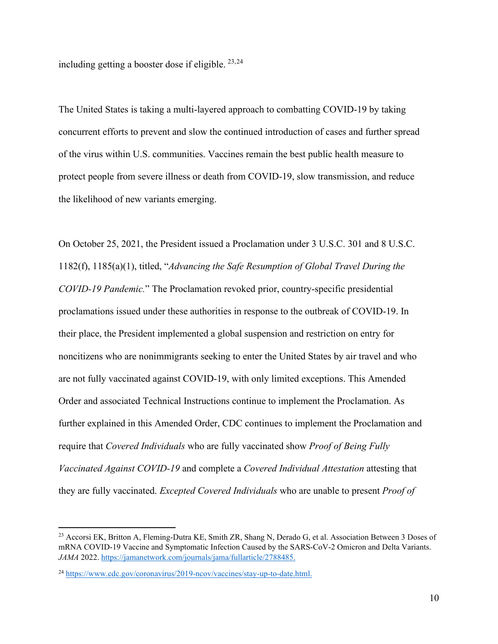including getting a booster dose if eligible.  $23,24$  $23,24$  $23,24$ 

The United States is taking a multi-layered approach to combatting COVID-19 by taking concurrent efforts to prevent and slow the continued introduction of cases and further spread of the virus within U.S. communities. Vaccines remain the best public health measure to protect people from severe illness or death from COVID-19, slow transmission, and reduce the likelihood of new variants emerging.

On October 25, 2021, the President issued a Proclamation under 3 U.S.C. 301 and 8 U.S.C. 1182(f), 1185(a)(1), titled, "*Advancing the Safe Resumption of Global Travel During the COVID-19 Pandemic.*" The Proclamation revoked prior, country-specific presidential proclamations issued under these authorities in response to the outbreak of COVID-19. In their place, the President implemented a global suspension and restriction on entry for noncitizens who are nonimmigrants seeking to enter the United States by air travel and who are not fully vaccinated against COVID-19, with only limited exceptions. This Amended Order and associated Technical Instructions continue to implement the Proclamation. As further explained in this Amended Order, CDC continues to implement the Proclamation and require that *Covered Individuals* who are fully vaccinated show *Proof of Being Fully Vaccinated Against COVID-19* and complete a *Covered Individual Attestation* attesting that they are fully vaccinated. *Excepted Covered Individuals* who are unable to present *Proof of* 

<span id="page-9-0"></span><sup>&</sup>lt;sup>23</sup> Accorsi EK, Britton A, Fleming-Dutra KE, Smith ZR, Shang N, Derado G, et al. Association Between 3 Doses of mRNA COVID-19 Vaccine and Symptomatic Infection Caused by the SARS-CoV-2 Omicron and Delta Variants. *JAMA* 2022. [https://jamanetwork.com/journals/jama/fullarticle/2788485.](https://jamanetwork.com/journals/jama/fullarticle/2788485)

<span id="page-9-1"></span><sup>24</sup> [https://www.cdc.gov/coronavirus/2019-ncov/vaccines/stay-up-to-date.html.](https://www.cdc.gov/coronavirus/2019-ncov/vaccines/stay-up-to-date.html)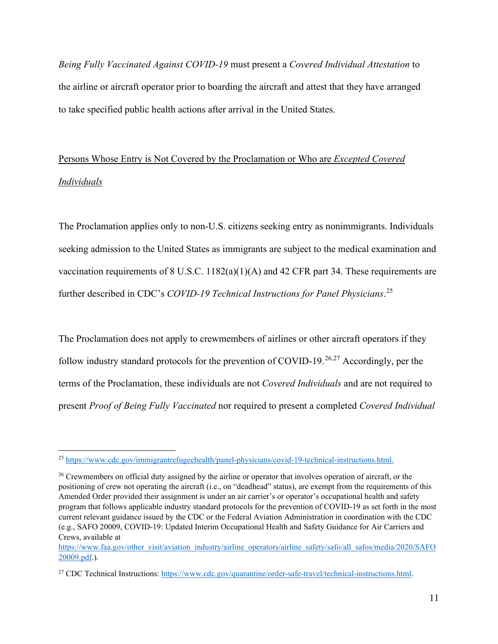*Being Fully Vaccinated Against COVID-19* must present a *Covered Individual Attestation* to the airline or aircraft operator prior to boarding the aircraft and attest that they have arranged to take specified public health actions after arrival in the United States.

# Persons Whose Entry is Not Covered by the Proclamation or Who are *Excepted Covered Individuals*

The Proclamation applies only to non-U.S. citizens seeking entry as nonimmigrants. Individuals seeking admission to the United States as immigrants are subject to the medical examination and vaccination requirements of 8 U.S.C. 1182(a)(1)(A) and 42 CFR part 34. These requirements are further described in CDC's *COVID-19 Technical Instructions for Panel Physicians*. [25](#page-10-0)

The Proclamation does not apply to crewmembers of airlines or other aircraft operators if they follow industry standard protocols for the prevention of COVID-19.<sup>[26,](#page-10-1)[27](#page-10-2)</sup> Accordingly, per the terms of the Proclamation, these individuals are not *Covered Individuals* and are not required to present *Proof of Being Fully Vaccinated* nor required to present a completed *Covered Individual* 

<span id="page-10-0"></span><sup>25</sup> [https://www.cdc.gov/immigrantrefugeehealth/panel-physicians/covid-19-technical-instructions.html.](https://www.cdc.gov/immigrantrefugeehealth/panel-physicians/covid-19-technical-instructions.html)

<span id="page-10-1"></span><sup>&</sup>lt;sup>26</sup> Crewmembers on official duty assigned by the airline or operator that involves operation of aircraft, or the positioning of crew not operating the aircraft (i.e., on "deadhead" status), are exempt from the requirements of this Amended Order provided their assignment is under an air carrier's or operator's occupational health and safety program that follows applicable industry standard protocols for the prevention of COVID-19 as set forth in the most current relevant guidance issued by the CDC or the Federal Aviation Administration in coordination with the CDC (e.g., SAFO 20009, COVID-19: Updated Interim Occupational Health and Safety Guidance for Air Carriers and Crews, available at

[https://www.faa.gov/other\\_visit/aviation\\_industry/airline\\_operators/airline\\_safety/safo/all\\_safos/media/2020/SAFO](https://www.faa.gov/other_visit/aviation_industry/airline_operators/airline_safety/safo/all_safos/media/2020/SAFO20009.pdf) [20009.pdf.](https://www.faa.gov/other_visit/aviation_industry/airline_operators/airline_safety/safo/all_safos/media/2020/SAFO20009.pdf)).

<span id="page-10-2"></span><sup>&</sup>lt;sup>27</sup> CDC Technical Instructions: [https://www.cdc.gov/quarantine/order-safe-travel/technical-instructions.html.](https://www.cdc.gov/quarantine/order-safe-travel/technical-instructions.html)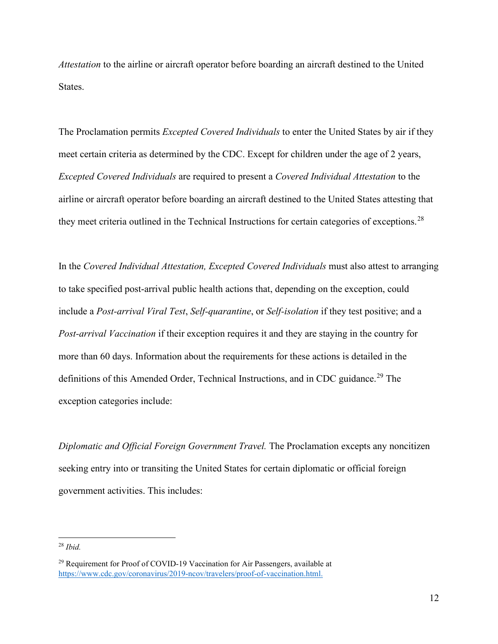*Attestation* to the airline or aircraft operator before boarding an aircraft destined to the United States.

The Proclamation permits *Excepted Covered Individuals* to enter the United States by air if they meet certain criteria as determined by the CDC. Except for children under the age of 2 years, *Excepted Covered Individuals* are required to present a *Covered Individual Attestation* to the airline or aircraft operator before boarding an aircraft destined to the United States attesting that they meet criteria outlined in the Technical Instructions for certain categories of exceptions.<sup>28</sup>

In the *Covered Individual Attestation, Excepted Covered Individuals* must also attest to arranging to take specified post-arrival public health actions that, depending on the exception, could include a *Post-arrival Viral Test*, *Self-quarantine*, or *Self-isolation* if they test positive; and a *Post-arrival Vaccination* if their exception requires it and they are staying in the country for more than 60 days. Information about the requirements for these actions is detailed in the definitions of this Amended Order, Technical Instructions, and in CDC guidance.<sup>[29](#page-11-1)</sup> The exception categories include:

*Diplomatic and Official Foreign Government Travel.* The Proclamation excepts any noncitizen seeking entry into or transiting the United States for certain diplomatic or official foreign government activities. This includes:

<span id="page-11-0"></span><sup>28</sup> *Ibid.*

<span id="page-11-1"></span><sup>&</sup>lt;sup>29</sup> Requirement for Proof of COVID-19 Vaccination for Air Passengers, available at [https://www.cdc.gov/coronavirus/2019-ncov/travelers/proof-of-vaccination.html.](https://www.cdc.gov/coronavirus/2019-ncov/travelers/proof-of-vaccination.html)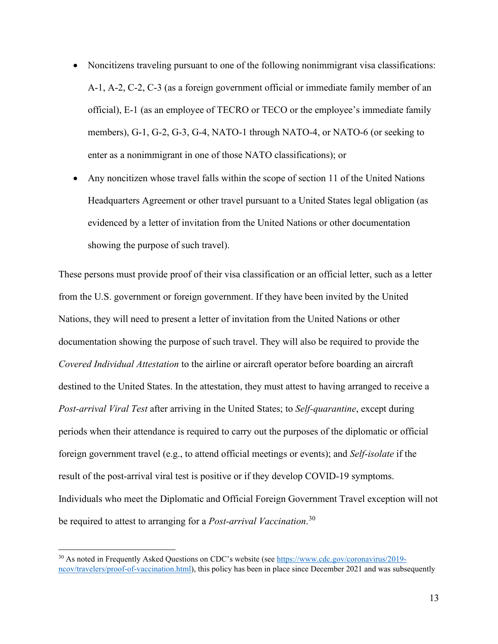- Noncitizens traveling pursuant to one of the following nonimmigrant visa classifications: A-1, A-2, C-2, C-3 (as a foreign government official or immediate family member of an official), E-1 (as an employee of TECRO or TECO or the employee's immediate family members), G-1, G-2, G-3, G-4, NATO-1 through NATO-4, or NATO-6 (or seeking to enter as a nonimmigrant in one of those NATO classifications); or
- Any noncitizen whose travel falls within the scope of section 11 of the United Nations Headquarters Agreement or other travel pursuant to a United States legal obligation (as evidenced by a letter of invitation from the United Nations or other documentation showing the purpose of such travel).

These persons must provide proof of their visa classification or an official letter, such as a letter from the U.S. government or foreign government. If they have been invited by the United Nations, they will need to present a letter of invitation from the United Nations or other documentation showing the purpose of such travel. They will also be required to provide the *Covered Individual Attestation* to the airline or aircraft operator before boarding an aircraft destined to the United States. In the attestation, they must attest to having arranged to receive a *Post-arrival Viral Test* after arriving in the United States; to *Self-quarantine*, except during periods when their attendance is required to carry out the purposes of the diplomatic or official foreign government travel (e.g., to attend official meetings or events); and *Self-isolate* if the result of the post-arrival viral test is positive or if they develop COVID-19 symptoms. Individuals who meet the Diplomatic and Official Foreign Government Travel exception will not be required to attest to arranging for a *Post-arrival Vaccination*. [30](#page-12-0)

<span id="page-12-0"></span><sup>&</sup>lt;sup>30</sup> As noted in Frequently Asked Questions on CDC's website (see [https://www.cdc.gov/coronavirus/2019](https://www.cdc.gov/coronavirus/2019-ncov/travelers/proof-of-vaccination.html) [ncov/travelers/proof-of-vaccination.html\)](https://www.cdc.gov/coronavirus/2019-ncov/travelers/proof-of-vaccination.html), this policy has been in place since December 2021 and was subsequently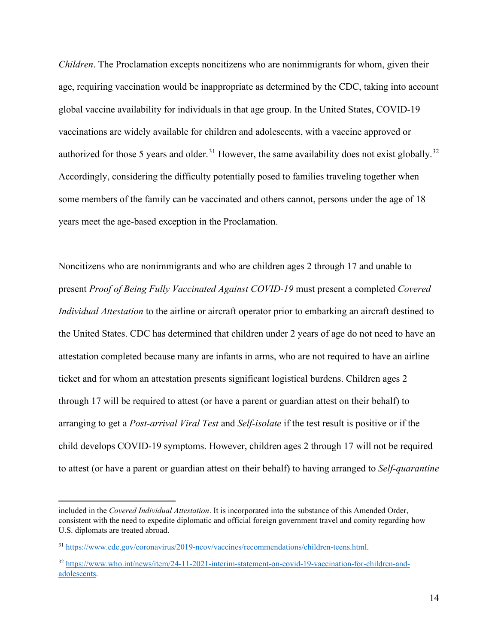*Children*. The Proclamation excepts noncitizens who are nonimmigrants for whom, given their age, requiring vaccination would be inappropriate as determined by the CDC, taking into account global vaccine availability for individuals in that age group. In the United States, COVID-19 vaccinations are widely available for children and adolescents, with a vaccine approved or authorized for those 5 years and older.<sup>31</sup> However, the same availability does not exist globally.<sup>[32](#page-13-1)</sup> Accordingly, considering the difficulty potentially posed to families traveling together when some members of the family can be vaccinated and others cannot, persons under the age of 18 years meet the age-based exception in the Proclamation.

Noncitizens who are nonimmigrants and who are children ages 2 through 17 and unable to present *Proof of Being Fully Vaccinated Against COVID-19* must present a completed *Covered Individual Attestation* to the airline or aircraft operator prior to embarking an aircraft destined to the United States. CDC has determined that children under 2 years of age do not need to have an attestation completed because many are infants in arms, who are not required to have an airline ticket and for whom an attestation presents significant logistical burdens. Children ages 2 through 17 will be required to attest (or have a parent or guardian attest on their behalf) to arranging to get a *Post-arrival Viral Test* and *Self-isolate* if the test result is positive or if the child develops COVID-19 symptoms. However, children ages 2 through 17 will not be required to attest (or have a parent or guardian attest on their behalf) to having arranged to *Self-quarantine*

included in the *Covered Individual Attestation*. It is incorporated into the substance of this Amended Order, consistent with the need to expedite diplomatic and official foreign government travel and comity regarding how U.S. diplomats are treated abroad.

<span id="page-13-0"></span><sup>31</sup> [https://www.cdc.gov/coronavirus/2019-ncov/vaccines/recommendations/children-teens.html.](https://www.cdc.gov/coronavirus/2019-ncov/vaccines/recommendations/children-teens.html)

<span id="page-13-1"></span><sup>32</sup> [https://www.who.int/news/item/24-11-2021-interim-statement-on-covid-19-vaccination-for-children-and](https://www.who.int/news/item/24-11-2021-interim-statement-on-covid-19-vaccination-for-children-and-adolescents)[adolescents.](https://www.who.int/news/item/24-11-2021-interim-statement-on-covid-19-vaccination-for-children-and-adolescents)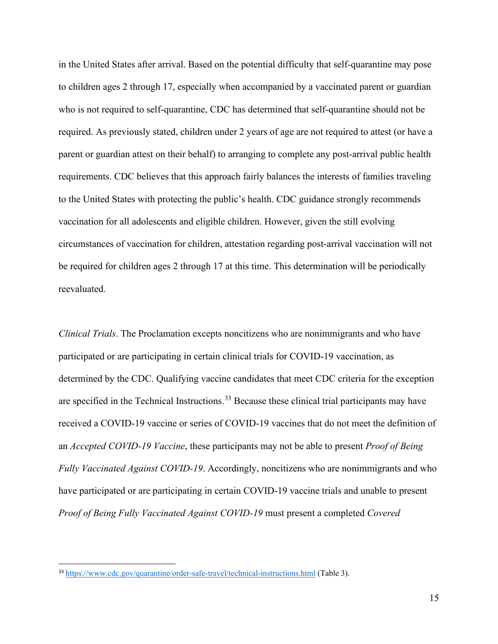in the United States after arrival. Based on the potential difficulty that self-quarantine may pose to children ages 2 through 17, especially when accompanied by a vaccinated parent or guardian who is not required to self-quarantine, CDC has determined that self-quarantine should not be required. As previously stated, children under 2 years of age are not required to attest (or have a parent or guardian attest on their behalf) to arranging to complete any post-arrival public health requirements. CDC believes that this approach fairly balances the interests of families traveling to the United States with protecting the public's health. CDC guidance strongly recommends vaccination for all adolescents and eligible children. However, given the still evolving circumstances of vaccination for children, attestation regarding post-arrival vaccination will not be required for children ages 2 through 17 at this time. This determination will be periodically reevaluated.

*Clinical Trials*. The Proclamation excepts noncitizens who are nonimmigrants and who have participated or are participating in certain clinical trials for COVID-19 vaccination, as determined by the CDC. Qualifying vaccine candidates that meet CDC criteria for the exception are specified in the Technical Instructions.<sup>[33](#page-14-0)</sup> Because these clinical trial participants may have received a COVID-19 vaccine or series of COVID-19 vaccines that do not meet the definition of an *Accepted COVID-19 Vaccine*, these participants may not be able to present *Proof of Being Fully Vaccinated Against COVID-19*. Accordingly, noncitizens who are nonimmigrants and who have participated or are participating in certain COVID-19 vaccine trials and unable to present *Proof of Being Fully Vaccinated Against COVID-19* must present a completed *Covered* 

<span id="page-14-0"></span><sup>33</sup> <https://www.cdc.gov/quarantine/order-safe-travel/technical-instructions.html> (Table 3).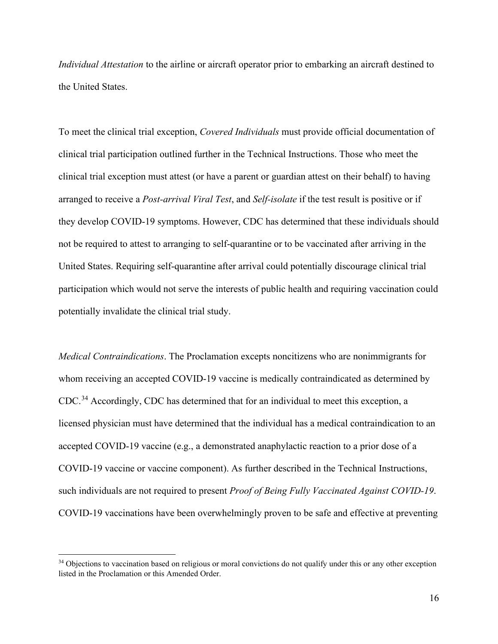*Individual Attestation* to the airline or aircraft operator prior to embarking an aircraft destined to the United States.

To meet the clinical trial exception, *Covered Individuals* must provide official documentation of clinical trial participation outlined further in the Technical Instructions. Those who meet the clinical trial exception must attest (or have a parent or guardian attest on their behalf) to having arranged to receive a *Post-arrival Viral Test*, and *Self-isolate* if the test result is positive or if they develop COVID-19 symptoms. However, CDC has determined that these individuals should not be required to attest to arranging to self-quarantine or to be vaccinated after arriving in the United States. Requiring self-quarantine after arrival could potentially discourage clinical trial participation which would not serve the interests of public health and requiring vaccination could potentially invalidate the clinical trial study.

*Medical Contraindications*. The Proclamation excepts noncitizens who are nonimmigrants for whom receiving an accepted COVID-19 vaccine is medically contraindicated as determined by CDC.<sup>[34](#page-15-0)</sup> Accordingly, CDC has determined that for an individual to meet this exception, a licensed physician must have determined that the individual has a medical contraindication to an accepted COVID-19 vaccine (e.g., a demonstrated anaphylactic reaction to a prior dose of a COVID-19 vaccine or vaccine component). As further described in the Technical Instructions, such individuals are not required to present *Proof of Being Fully Vaccinated Against COVID-19*. COVID-19 vaccinations have been overwhelmingly proven to be safe and effective at preventing

<span id="page-15-0"></span><sup>&</sup>lt;sup>34</sup> Objections to vaccination based on religious or moral convictions do not qualify under this or any other exception listed in the Proclamation or this Amended Order.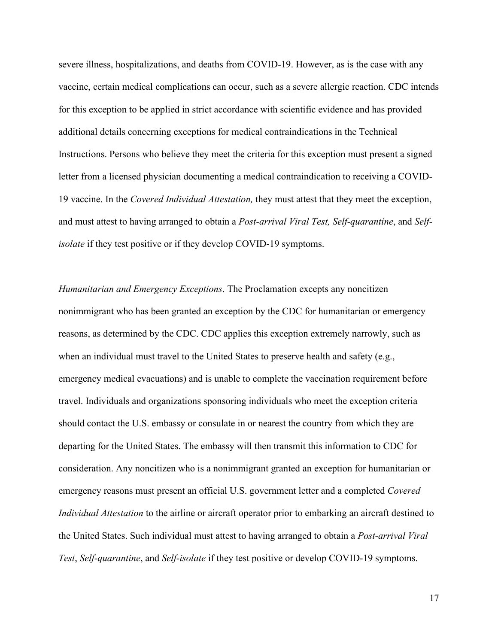severe illness, hospitalizations, and deaths from COVID-19. However, as is the case with any vaccine, certain medical complications can occur, such as a severe allergic reaction. CDC intends for this exception to be applied in strict accordance with scientific evidence and has provided additional details concerning exceptions for medical contraindications in the Technical Instructions. Persons who believe they meet the criteria for this exception must present a signed letter from a licensed physician documenting a medical contraindication to receiving a COVID-19 vaccine. In the *Covered Individual Attestation,* they must attest that they meet the exception, and must attest to having arranged to obtain a *Post-arrival Viral Test, Self-quarantine*, and *Selfisolate* if they test positive or if they develop COVID-19 symptoms.

*Humanitarian and Emergency Exceptions*. The Proclamation excepts any noncitizen nonimmigrant who has been granted an exception by the CDC for humanitarian or emergency reasons, as determined by the CDC. CDC applies this exception extremely narrowly, such as when an individual must travel to the United States to preserve health and safety (e.g., emergency medical evacuations) and is unable to complete the vaccination requirement before travel. Individuals and organizations sponsoring individuals who meet the exception criteria should contact the U.S. embassy or consulate in or nearest the country from which they are departing for the United States. The embassy will then transmit this information to CDC for consideration. Any noncitizen who is a nonimmigrant granted an exception for humanitarian or emergency reasons must present an official U.S. government letter and a completed *Covered Individual Attestation* to the airline or aircraft operator prior to embarking an aircraft destined to the United States. Such individual must attest to having arranged to obtain a *Post-arrival Viral Test*, *Self-quarantine*, and *Self-isolate* if they test positive or develop COVID-19 symptoms.

17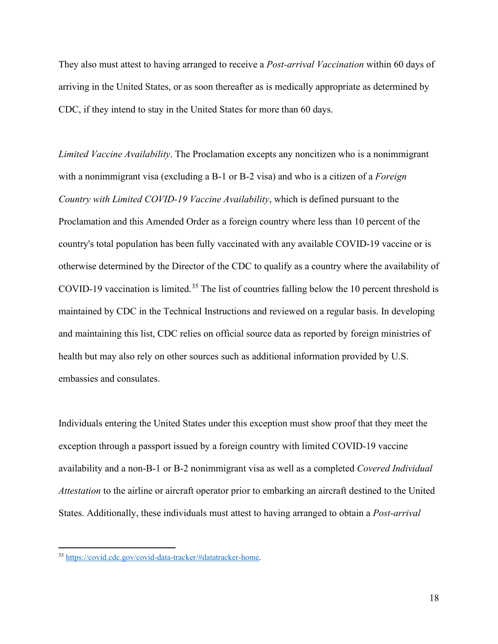They also must attest to having arranged to receive a *Post-arrival Vaccination* within 60 days of arriving in the United States, or as soon thereafter as is medically appropriate as determined by CDC, if they intend to stay in the United States for more than 60 days.

*Limited Vaccine Availability*. The Proclamation excepts any noncitizen who is a nonimmigrant with a nonimmigrant visa (excluding a B-1 or B-2 visa) and who is a citizen of a *Foreign Country with Limited COVID-19 Vaccine Availability*, which is defined pursuant to the Proclamation and this Amended Order as a foreign country where less than 10 percent of the country's total population has been fully vaccinated with any available COVID-19 vaccine or is otherwise determined by the Director of the CDC to qualify as a country where the availability of COVID-19 vaccination is limited.<sup>[35](#page-17-0)</sup> The list of countries falling below the 10 percent threshold is maintained by CDC in the Technical Instructions and reviewed on a regular basis. In developing and maintaining this list, CDC relies on official source data as reported by foreign ministries of health but may also rely on other sources such as additional information provided by U.S. embassies and consulates.

Individuals entering the United States under this exception must show proof that they meet the exception through a passport issued by a foreign country with limited COVID-19 vaccine availability and a non-B-1 or B-2 nonimmigrant visa as well as a completed *Covered Individual Attestation* to the airline or aircraft operator prior to embarking an aircraft destined to the United States. Additionally, these individuals must attest to having arranged to obtain a *Post-arrival* 

<span id="page-17-0"></span><sup>35</sup> [https://covid.cdc.gov/covid-data-tracker/#datatracker-home.](https://covid.cdc.gov/covid-data-tracker/#datatracker-home)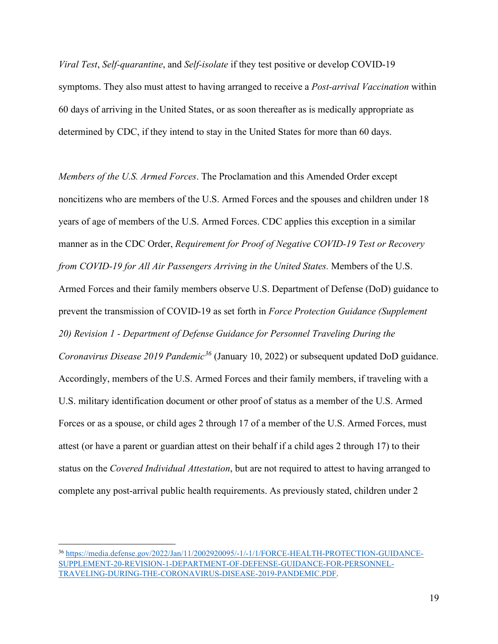*Viral Test*, *Self-quarantine*, and *Self-isolate* if they test positive or develop COVID-19 symptoms. They also must attest to having arranged to receive a *Post-arrival Vaccination* within 60 days of arriving in the United States, or as soon thereafter as is medically appropriate as determined by CDC, if they intend to stay in the United States for more than 60 days.

*Members of the U.S. Armed Forces*. The Proclamation and this Amended Order except noncitizens who are members of the U.S. Armed Forces and the spouses and children under 18 years of age of members of the U.S. Armed Forces. CDC applies this exception in a similar manner as in the CDC Order, *Requirement for Proof of Negative COVID-19 Test or Recovery from COVID-19 for All Air Passengers Arriving in the United States.* Members of the U.S. Armed Forces and their family members observe U.S. Department of Defense (DoD) guidance to prevent the transmission of COVID-19 as set forth in *Force Protection Guidance (Supplement 20) Revision 1 - Department of Defense Guidance for Personnel Traveling During the Coronavirus Disease 2019 Pandemic[36](#page-18-0)* (January 10, 2022) or subsequent updated DoD guidance. Accordingly, members of the U.S. Armed Forces and their family members, if traveling with a U.S. military identification document or other proof of status as a member of the U.S. Armed Forces or as a spouse, or child ages 2 through 17 of a member of the U.S. Armed Forces, must attest (or have a parent or guardian attest on their behalf if a child ages 2 through 17) to their status on the *Covered Individual Attestation*, but are not required to attest to having arranged to complete any post-arrival public health requirements. As previously stated, children under 2

<span id="page-18-0"></span><sup>36</sup> [https://media.defense.gov/2022/Jan/11/2002920095/-1/-1/1/FORCE-HEALTH-PROTECTION-GUIDANCE-](https://media.defense.gov/2022/Jan/11/2002920095/-1/-1/1/FORCE-HEALTH-PROTECTION-GUIDANCE-SUPPLEMENT-20-REVISION-1-DEPARTMENT-OF-DEFENSE-GUIDANCE-FOR-PERSONNEL-TRAVELING-DURING-THE-CORONAVIRUS-DISEASE-2019-PANDEMIC.PDF)[SUPPLEMENT-20-REVISION-1-DEPARTMENT-OF-DEFENSE-GUIDANCE-FOR-PERSONNEL-](https://media.defense.gov/2022/Jan/11/2002920095/-1/-1/1/FORCE-HEALTH-PROTECTION-GUIDANCE-SUPPLEMENT-20-REVISION-1-DEPARTMENT-OF-DEFENSE-GUIDANCE-FOR-PERSONNEL-TRAVELING-DURING-THE-CORONAVIRUS-DISEASE-2019-PANDEMIC.PDF)[TRAVELING-DURING-THE-CORONAVIRUS-DISEASE-2019-PANDEMIC.PDF.](https://media.defense.gov/2022/Jan/11/2002920095/-1/-1/1/FORCE-HEALTH-PROTECTION-GUIDANCE-SUPPLEMENT-20-REVISION-1-DEPARTMENT-OF-DEFENSE-GUIDANCE-FOR-PERSONNEL-TRAVELING-DURING-THE-CORONAVIRUS-DISEASE-2019-PANDEMIC.PDF)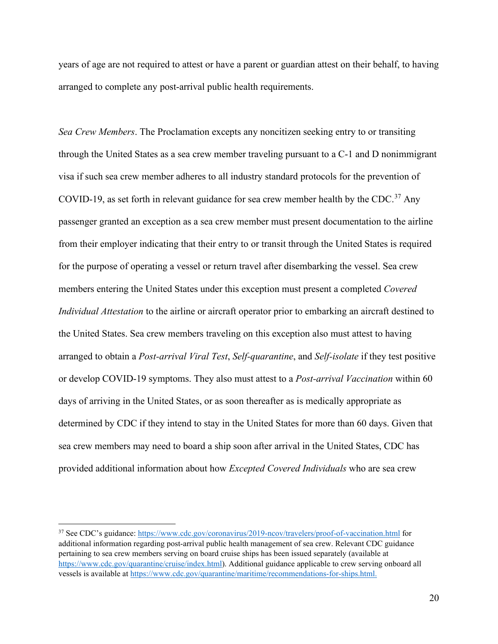years of age are not required to attest or have a parent or guardian attest on their behalf, to having arranged to complete any post-arrival public health requirements.

*Sea Crew Members*. The Proclamation excepts any noncitizen seeking entry to or transiting through the United States as a sea crew member traveling pursuant to a C-1 and D nonimmigrant visa if such sea crew member adheres to all industry standard protocols for the prevention of COVID-19, as set forth in relevant guidance for sea crew member health by the CDC.<sup>[37](#page-19-0)</sup> Any passenger granted an exception as a sea crew member must present documentation to the airline from their employer indicating that their entry to or transit through the United States is required for the purpose of operating a vessel or return travel after disembarking the vessel. Sea crew members entering the United States under this exception must present a completed *Covered Individual Attestation* to the airline or aircraft operator prior to embarking an aircraft destined to the United States. Sea crew members traveling on this exception also must attest to having arranged to obtain a *Post-arrival Viral Test*, *Self-quarantine*, and *Self-isolate* if they test positive or develop COVID-19 symptoms. They also must attest to a *Post-arrival Vaccination* within 60 days of arriving in the United States, or as soon thereafter as is medically appropriate as determined by CDC if they intend to stay in the United States for more than 60 days. Given that sea crew members may need to board a ship soon after arrival in the United States, CDC has provided additional information about how *Excepted Covered Individuals* who are sea crew

<span id="page-19-0"></span><sup>37</sup> See CDC's guidance[: https://www.cdc.gov/coronavirus/2019-ncov/travelers/proof-of-vaccination.html](https://www.cdc.gov/coronavirus/2019-ncov/travelers/proof-of-vaccination.html) for additional information regarding post-arrival public health management of sea crew. Relevant CDC guidance pertaining to sea crew members serving on board cruise ships has been issued separately (available at [https://www.cdc.gov/quarantine/cruise/index.html\)](https://www.cdc.gov/quarantine/cruise/index.html). Additional guidance applicable to crew serving onboard all vessels is available at [https://www.cdc.gov/quarantine/maritime/recommendations-for-ships.html.](https://www.cdc.gov/quarantine/maritime/recommendations-for-ships.html)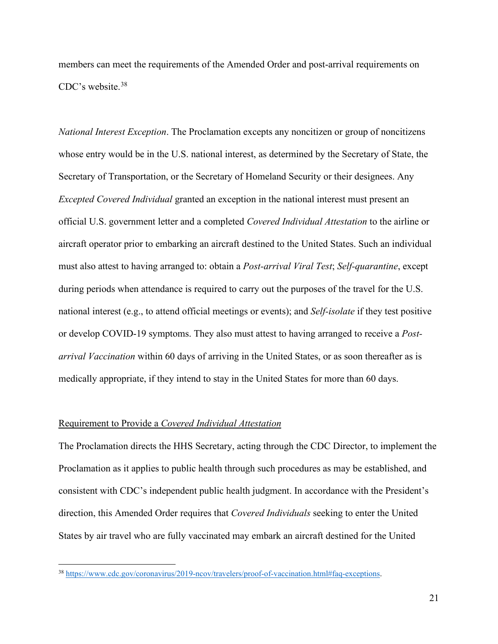members can meet the requirements of the Amended Order and post-arrival requirements on CDC's website.[38](#page-20-0) 

*National Interest Exception*. The Proclamation excepts any noncitizen or group of noncitizens whose entry would be in the U.S. national interest, as determined by the Secretary of State, the Secretary of Transportation, or the Secretary of Homeland Security or their designees. Any *Excepted Covered Individual* granted an exception in the national interest must present an official U.S. government letter and a completed *Covered Individual Attestation* to the airline or aircraft operator prior to embarking an aircraft destined to the United States. Such an individual must also attest to having arranged to: obtain a *Post-arrival Viral Test*; *Self-quarantine*, except during periods when attendance is required to carry out the purposes of the travel for the U.S. national interest (e.g., to attend official meetings or events); and *Self-isolate* if they test positive or develop COVID-19 symptoms. They also must attest to having arranged to receive a *Postarrival Vaccination* within 60 days of arriving in the United States, or as soon thereafter as is medically appropriate, if they intend to stay in the United States for more than 60 days.

#### Requirement to Provide a *Covered Individual Attestation*

The Proclamation directs the HHS Secretary, acting through the CDC Director, to implement the Proclamation as it applies to public health through such procedures as may be established, and consistent with CDC's independent public health judgment. In accordance with the President's direction, this Amended Order requires that *Covered Individuals* seeking to enter the United States by air travel who are fully vaccinated may embark an aircraft destined for the United

<span id="page-20-0"></span><sup>38</sup> [https://www.cdc.gov/coronavirus/2019-ncov/travelers/proof-of-vaccination.html#faq-exceptions.](https://www.cdc.gov/coronavirus/2019-ncov/travelers/proof-of-vaccination.html#faq-exceptions)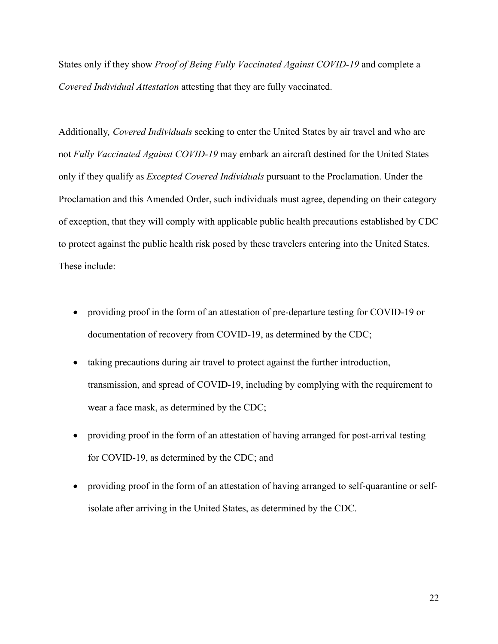States only if they show *Proof of Being Fully Vaccinated Against COVID-19* and complete a *Covered Individual Attestation* attesting that they are fully vaccinated.

Additionally*, Covered Individuals* seeking to enter the United States by air travel and who are not *Fully Vaccinated Against COVID-19* may embark an aircraft destined for the United States only if they qualify as *Excepted Covered Individuals* pursuant to the Proclamation. Under the Proclamation and this Amended Order, such individuals must agree, depending on their category of exception, that they will comply with applicable public health precautions established by CDC to protect against the public health risk posed by these travelers entering into the United States. These include:

- providing proof in the form of an attestation of pre-departure testing for COVID-19 or documentation of recovery from COVID-19, as determined by the CDC;
- taking precautions during air travel to protect against the further introduction, transmission, and spread of COVID-19, including by complying with the requirement to wear a face mask, as determined by the CDC;
- providing proof in the form of an attestation of having arranged for post-arrival testing for COVID-19, as determined by the CDC; and
- providing proof in the form of an attestation of having arranged to self-quarantine or selfisolate after arriving in the United States, as determined by the CDC.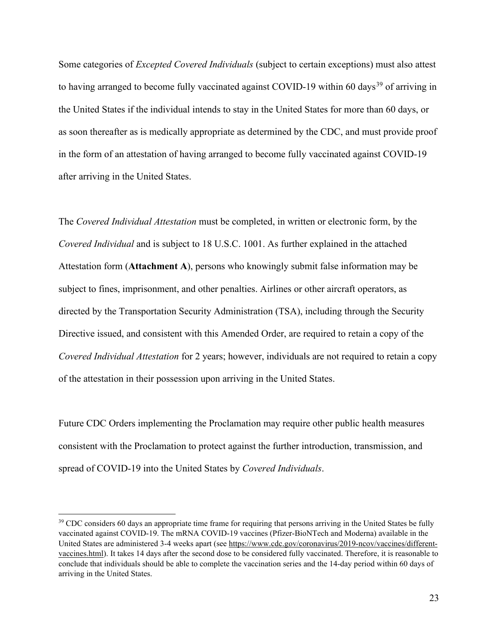Some categories of *Excepted Covered Individuals* (subject to certain exceptions) must also attest to having arranged to become fully vaccinated against COVID-19 within 60 days<sup>39</sup> of arriving in the United States if the individual intends to stay in the United States for more than 60 days, or as soon thereafter as is medically appropriate as determined by the CDC, and must provide proof in the form of an attestation of having arranged to become fully vaccinated against COVID-19 after arriving in the United States.

The *Covered Individual Attestation* must be completed, in written or electronic form, by the *Covered Individual* and is subject to 18 U.S.C. 1001. As further explained in the attached Attestation form (**Attachment A**), persons who knowingly submit false information may be subject to fines, imprisonment, and other penalties. Airlines or other aircraft operators, as directed by the Transportation Security Administration (TSA), including through the Security Directive issued, and consistent with this Amended Order, are required to retain a copy of the *Covered Individual Attestation* for 2 years; however, individuals are not required to retain a copy of the attestation in their possession upon arriving in the United States.

Future CDC Orders implementing the Proclamation may require other public health measures consistent with the Proclamation to protect against the further introduction, transmission, and spread of COVID-19 into the United States by *Covered Individuals*.

<span id="page-22-0"></span><sup>&</sup>lt;sup>39</sup> CDC considers 60 days an appropriate time frame for requiring that persons arriving in the United States be fully vaccinated against COVID-19. The mRNA COVID-19 vaccines (Pfizer-BioNTech and Moderna) available in the United States are administered 3-4 weeks apart (see [https://www.cdc.gov/coronavirus/2019-ncov/vaccines/different](https://www.cdc.gov/coronavirus/2019-ncov/vaccines/different-vaccines.html)[vaccines.html\)](https://www.cdc.gov/coronavirus/2019-ncov/vaccines/different-vaccines.html). It takes 14 days after the second dose to be considered fully vaccinated. Therefore, it is reasonable to conclude that individuals should be able to complete the vaccination series and the 14-day period within 60 days of arriving in the United States.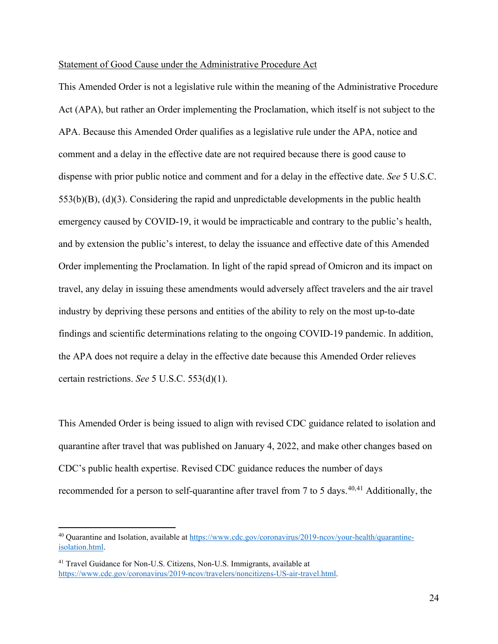#### Statement of Good Cause under the Administrative Procedure Act

This Amended Order is not a legislative rule within the meaning of the Administrative Procedure Act (APA), but rather an Order implementing the Proclamation, which itself is not subject to the APA. Because this Amended Order qualifies as a legislative rule under the APA, notice and comment and a delay in the effective date are not required because there is good cause to dispense with prior public notice and comment and for a delay in the effective date. *See* 5 U.S.C.  $553(b)(B)$ ,  $(d)(3)$ . Considering the rapid and unpredictable developments in the public health emergency caused by COVID-19, it would be impracticable and contrary to the public's health, and by extension the public's interest, to delay the issuance and effective date of this Amended Order implementing the Proclamation. In light of the rapid spread of Omicron and its impact on travel, any delay in issuing these amendments would adversely affect travelers and the air travel industry by depriving these persons and entities of the ability to rely on the most up-to-date findings and scientific determinations relating to the ongoing COVID-19 pandemic. In addition, the APA does not require a delay in the effective date because this Amended Order relieves certain restrictions. *See* 5 U.S.C. 553(d)(1).

This Amended Order is being issued to align with revised CDC guidance related to isolation and quarantine after travel that was published on January 4, 2022, and make other changes based on CDC's public health expertise. Revised CDC guidance reduces the number of days recommended for a person to self-quarantine after travel from 7 to 5 days.<sup>[40](#page-23-0),41</sup> Additionally, the

<span id="page-23-0"></span><sup>40</sup> Quarantine and Isolation, available at [https://www.cdc.gov/coronavirus/2019-ncov/your-health/quarantine](https://www.cdc.gov/coronavirus/2019-ncov/your-health/quarantine-isolation.html)[isolation.html.](https://www.cdc.gov/coronavirus/2019-ncov/your-health/quarantine-isolation.html) 

<span id="page-23-1"></span><sup>&</sup>lt;sup>41</sup> Travel Guidance for Non-U.S. Citizens, Non-U.S. Immigrants, available at [https://www.cdc.gov/coronavirus/2019-ncov/travelers/noncitizens-US-air-travel.html.](https://www.cdc.gov/coronavirus/2019-ncov/travelers/noncitizens-US-air-travel.html)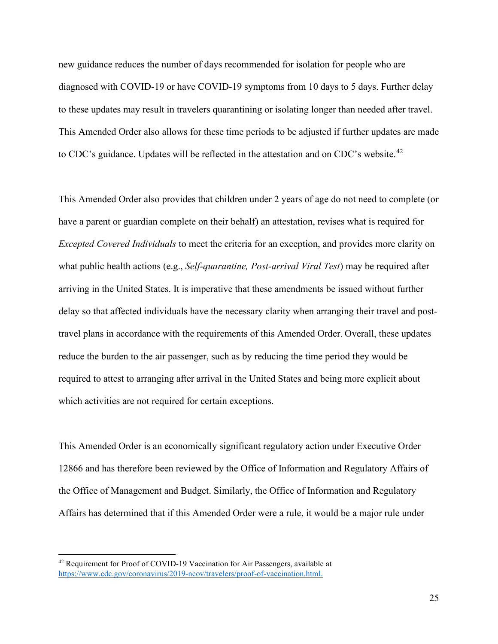new guidance reduces the number of days recommended for isolation for people who are diagnosed with COVID-19 or have COVID-19 symptoms from 10 days to 5 days. Further delay to these updates may result in travelers quarantining or isolating longer than needed after travel. This Amended Order also allows for these time periods to be adjusted if further updates are made to CDC's guidance. Updates will be reflected in the attestation and on CDC's website.<sup>42</sup>

This Amended Order also provides that children under 2 years of age do not need to complete (or have a parent or guardian complete on their behalf) an attestation, revises what is required for *Excepted Covered Individuals* to meet the criteria for an exception, and provides more clarity on what public health actions (e.g., *Self-quarantine, Post-arrival Viral Test*) may be required after arriving in the United States. It is imperative that these amendments be issued without further delay so that affected individuals have the necessary clarity when arranging their travel and posttravel plans in accordance with the requirements of this Amended Order. Overall, these updates reduce the burden to the air passenger, such as by reducing the time period they would be required to attest to arranging after arrival in the United States and being more explicit about which activities are not required for certain exceptions.

This Amended Order is an economically significant regulatory action under Executive Order 12866 and has therefore been reviewed by the Office of Information and Regulatory Affairs of the Office of Management and Budget. Similarly, the Office of Information and Regulatory Affairs has determined that if this Amended Order were a rule, it would be a major rule under

<span id="page-24-0"></span><sup>&</sup>lt;sup>42</sup> Requirement for Proof of COVID-19 Vaccination for Air Passengers, available at [https://www.cdc.gov/coronavirus/2019-ncov/travelers/proof-of-vaccination.html.](https://www.cdc.gov/coronavirus/2019-ncov/travelers/proof-of-vaccination.html)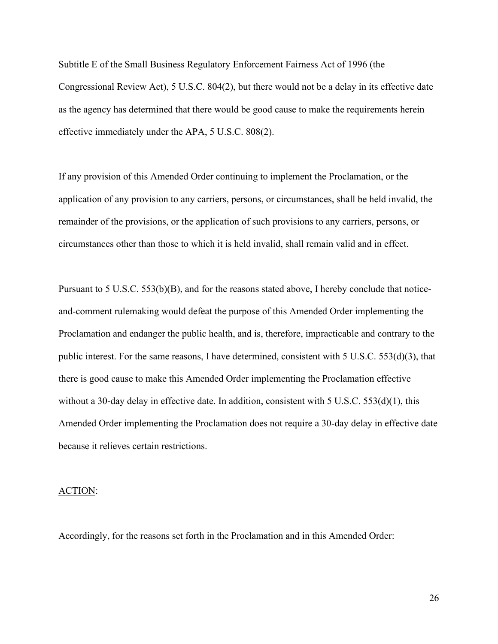Subtitle E of the Small Business Regulatory Enforcement Fairness Act of 1996 (the Congressional Review Act), 5 U.S.C. 804(2), but there would not be a delay in its effective date as the agency has determined that there would be good cause to make the requirements herein effective immediately under the APA, 5 U.S.C. 808(2).

If any provision of this Amended Order continuing to implement the Proclamation, or the application of any provision to any carriers, persons, or circumstances, shall be held invalid, the remainder of the provisions, or the application of such provisions to any carriers, persons, or circumstances other than those to which it is held invalid, shall remain valid and in effect.

Pursuant to 5 U.S.C.  $53(6)(B)$ , and for the reasons stated above, I hereby conclude that noticeand-comment rulemaking would defeat the purpose of this Amended Order implementing the Proclamation and endanger the public health, and is, therefore, impracticable and contrary to the public interest. For the same reasons, I have determined, consistent with  $5 \text{ U.S.C. } 553\text{ (d)}(3)$ , that there is good cause to make this Amended Order implementing the Proclamation effective without a 30-day delay in effective date. In addition, consistent with  $5 \text{ U.S.C. } 553\text{ (d)}(1)$ , this Amended Order implementing the Proclamation does not require a 30-day delay in effective date because it relieves certain restrictions.

#### ACTION:

Accordingly, for the reasons set forth in the Proclamation and in this Amended Order: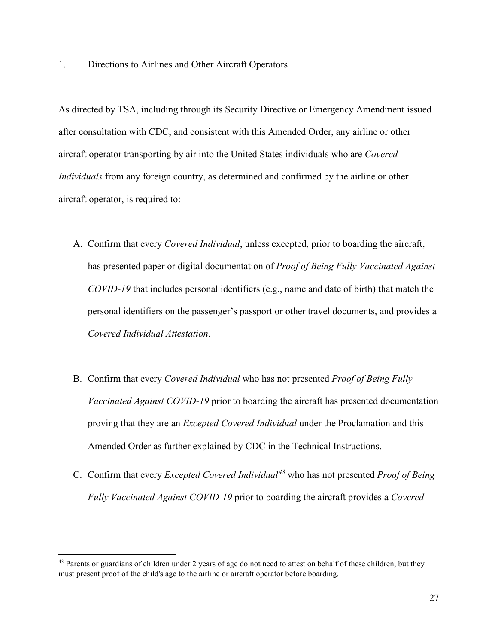As directed by TSA, including through its Security Directive or Emergency Amendment issued after consultation with CDC, and consistent with this Amended Order, any airline or other aircraft operator transporting by air into the United States individuals who are *Covered Individuals* from any foreign country, as determined and confirmed by the airline or other aircraft operator, is required to:

- A. Confirm that every *Covered Individual*, unless excepted, prior to boarding the aircraft, has presented paper or digital documentation of *Proof of Being Fully Vaccinated Against COVID-19* that includes personal identifiers (e.g., name and date of birth) that match the personal identifiers on the passenger's passport or other travel documents, and provides a *Covered Individual Attestation*.
- B. Confirm that every *Covered Individual* who has not presented *Proof of Being Fully Vaccinated Against COVID-19* prior to boarding the aircraft has presented documentation proving that they are an *Excepted Covered Individual* under the Proclamation and this Amended Order as further explained by CDC in the Technical Instructions.
- C. Confirm that every *Excepted Covered Individual[43](#page-26-0)* who has not presented *Proof of Being Fully Vaccinated Against COVID-19* prior to boarding the aircraft provides a *Covered*

<span id="page-26-0"></span><sup>&</sup>lt;sup>43</sup> Parents or guardians of children under 2 years of age do not need to attest on behalf of these children, but they must present proof of the child's age to the airline or aircraft operator before boarding.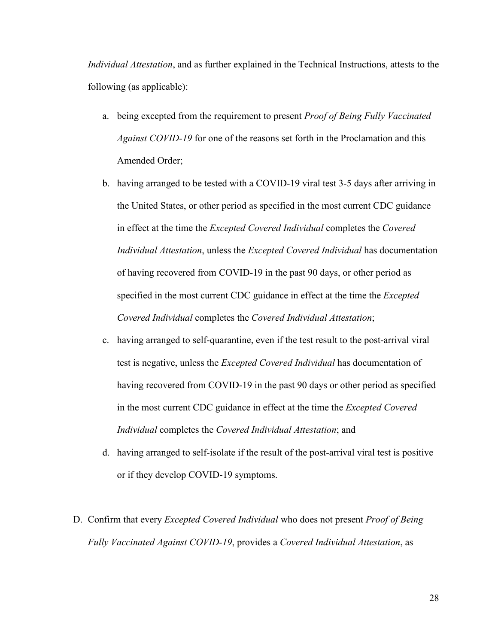*Individual Attestation*, and as further explained in the Technical Instructions, attests to the following (as applicable):

- a. being excepted from the requirement to present *Proof of Being Fully Vaccinated Against COVID-19* for one of the reasons set forth in the Proclamation and this Amended Order;
- b. having arranged to be tested with a COVID-19 viral test 3-5 days after arriving in the United States, or other period as specified in the most current CDC guidance in effect at the time the *Excepted Covered Individual* completes the *Covered Individual Attestation*, unless the *Excepted Covered Individual* has documentation of having recovered from COVID-19 in the past 90 days, or other period as specified in the most current CDC guidance in effect at the time the *Excepted Covered Individual* completes the *Covered Individual Attestation*;
- c. having arranged to self-quarantine, even if the test result to the post-arrival viral test is negative, unless the *Excepted Covered Individual* has documentation of having recovered from COVID-19 in the past 90 days or other period as specified in the most current CDC guidance in effect at the time the *Excepted Covered Individual* completes the *Covered Individual Attestation*; and
- d. having arranged to self-isolate if the result of the post-arrival viral test is positive or if they develop COVID-19 symptoms.
- D. Confirm that every *Excepted Covered Individual* who does not present *Proof of Being Fully Vaccinated Against COVID-19*, provides a *Covered Individual Attestation*, as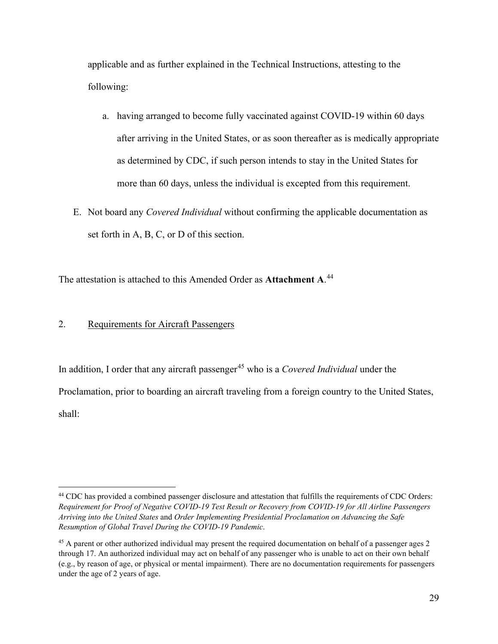applicable and as further explained in the Technical Instructions, attesting to the following:

- a. having arranged to become fully vaccinated against COVID-19 within 60 days after arriving in the United States, or as soon thereafter as is medically appropriate as determined by CDC, if such person intends to stay in the United States for more than 60 days, unless the individual is excepted from this requirement.
- E. Not board any *Covered Individual* without confirming the applicable documentation as set forth in A, B, C, or D of this section.

The attestation is attached to this Amended Order as **Attachment A**. [44](#page-28-0)

## 2. Requirements for Aircraft Passengers

In addition, I order that any aircraft passenger<sup>45</sup> who is a *Covered Individual* under the Proclamation, prior to boarding an aircraft traveling from a foreign country to the United States, shall:

<span id="page-28-0"></span><sup>&</sup>lt;sup>44</sup> CDC has provided a combined passenger disclosure and attestation that fulfills the requirements of CDC Orders: *Requirement for Proof of Negative COVID-19 Test Result or Recovery from COVID-19 for All Airline Passengers Arriving into the United States* and *Order Implementing Presidential Proclamation on Advancing the Safe Resumption of Global Travel During the COVID-19 Pandemic*.

<span id="page-28-1"></span><sup>&</sup>lt;sup>45</sup> A parent or other authorized individual may present the required documentation on behalf of a passenger ages 2 through 17. An authorized individual may act on behalf of any passenger who is unable to act on their own behalf (e.g., by reason of age, or physical or mental impairment). There are no documentation requirements for passengers under the age of 2 years of age.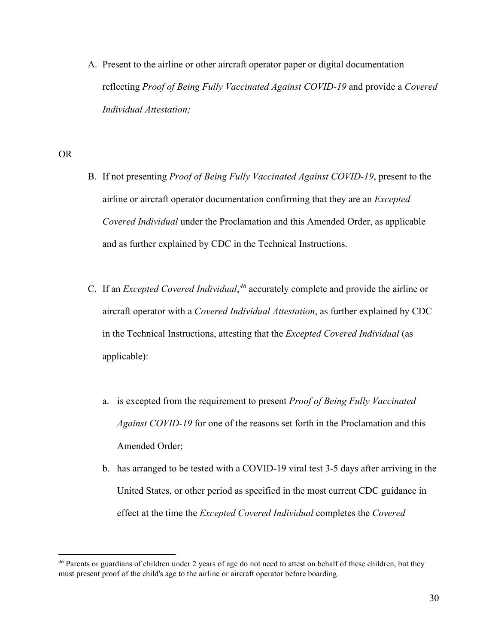A. Present to the airline or other aircraft operator paper or digital documentation reflecting *Proof of Being Fully Vaccinated Against COVID-19* and provide a *Covered Individual Attestation;*

## OR

- B. If not presenting *Proof of Being Fully Vaccinated Against COVID-19*, present to the airline or aircraft operator documentation confirming that they are an *Excepted Covered Individual* under the Proclamation and this Amended Order, as applicable and as further explained by CDC in the Technical Instructions.
- C. If an *Excepted Covered Individual*, *[46](#page-29-0)* accurately complete and provide the airline or aircraft operator with a *Covered Individual Attestation*, as further explained by CDC in the Technical Instructions, attesting that the *Excepted Covered Individual* (as applicable):
	- a. is excepted from the requirement to present *Proof of Being Fully Vaccinated Against COVID-19* for one of the reasons set forth in the Proclamation and this Amended Order;
	- b. has arranged to be tested with a COVID-19 viral test 3-5 days after arriving in the United States, or other period as specified in the most current CDC guidance in effect at the time the *Excepted Covered Individual* completes the *Covered*

<span id="page-29-0"></span><sup>&</sup>lt;sup>46</sup> Parents or guardians of children under 2 years of age do not need to attest on behalf of these children, but they must present proof of the child's age to the airline or aircraft operator before boarding.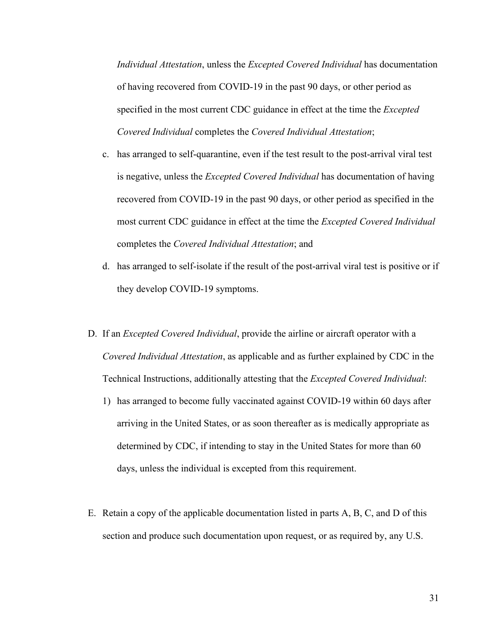*Individual Attestation*, unless the *Excepted Covered Individual* has documentation of having recovered from COVID-19 in the past 90 days, or other period as specified in the most current CDC guidance in effect at the time the *Excepted Covered Individual* completes the *Covered Individual Attestation*;

- c. has arranged to self-quarantine, even if the test result to the post-arrival viral test is negative, unless the *Excepted Covered Individual* has documentation of having recovered from COVID-19 in the past 90 days, or other period as specified in the most current CDC guidance in effect at the time the *Excepted Covered Individual* completes the *Covered Individual Attestation*; and
- d. has arranged to self-isolate if the result of the post-arrival viral test is positive or if they develop COVID-19 symptoms.
- D. If an *Excepted Covered Individual*, provide the airline or aircraft operator with a *Covered Individual Attestation*, as applicable and as further explained by CDC in the Technical Instructions, additionally attesting that the *Excepted Covered Individual*:
	- 1) has arranged to become fully vaccinated against COVID-19 within 60 days after arriving in the United States, or as soon thereafter as is medically appropriate as determined by CDC, if intending to stay in the United States for more than 60 days, unless the individual is excepted from this requirement.
- E. Retain a copy of the applicable documentation listed in parts A, B, C, and D of this section and produce such documentation upon request, or as required by, any U.S.